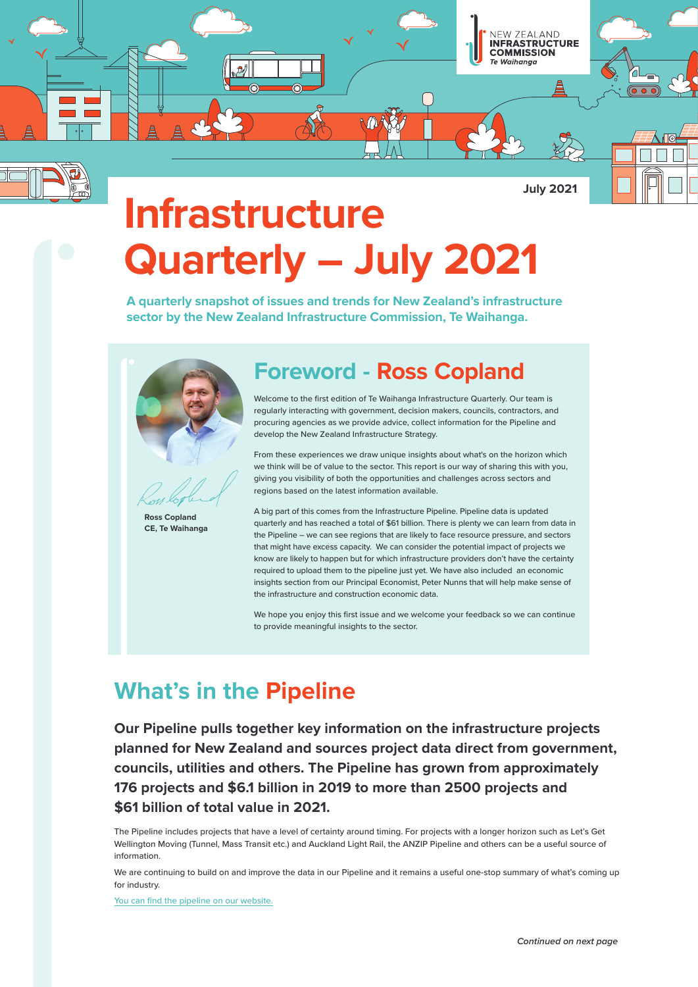

**July 2021**

# **Infrastructure Quarterly – July 2021**

**A quarterly snapshot of issues and trends for New Zealand's infrastructure sector by the New Zealand Infrastructure Commission, Te Waihanga.** 



#### **Ross Copland CE, Te Waihanga**

# **Foreword - Ross Copland**

Welcome to the first edition of Te Waihanga Infrastructure Quarterly. Our team is regularly interacting with government, decision makers, councils, contractors, and procuring agencies as we provide advice, collect information for the Pipeline and develop the New Zealand Infrastructure Strategy.

From these experiences we draw unique insights about what's on the horizon which we think will be of value to the sector. This report is our way of sharing this with you, giving you visibility of both the opportunities and challenges across sectors and regions based on the latest information available.

A big part of this comes from the Infrastructure Pipeline. Pipeline data is updated quarterly and has reached a total of \$61 billion. There is plenty we can learn from data in the Pipeline – we can see regions that are likely to face resource pressure, and sectors that might have excess capacity. We can consider the potential impact of projects we know are likely to happen but for which infrastructure providers don't have the certainty required to upload them to the pipeline just yet. We have also included an economic insights section from our Principal Economist, Peter Nunns that will help make sense of the infrastructure and construction economic data.

We hope you enjoy this first issue and we welcome your feedback so we can continue to provide meaningful insights to the sector.

# **What's in the Pipeline**

**Our Pipeline pulls together key information on the infrastructure projects planned for New Zealand and sources project data direct from government, councils, utilities and others. The Pipeline has grown from approximately 176 projects and \$6.1 billion in 2019 to more than 2500 projects and \$61 billion of total value in 2021.** 

The Pipeline includes projects that have a level of certainty around timing. For projects with a longer horizon such as Let's Get Wellington Moving (Tunnel, Mass Transit etc.) and Auckland Light Rail, the ANZIP Pipeline and others can be a useful source of information.

We are continuing to build on and improve the data in our Pipeline and it remains a useful one-stop summary of what's coming up for industry.

[You can find the pipeline on our website.](https://www.tewaihanga.govt.nz/projects/)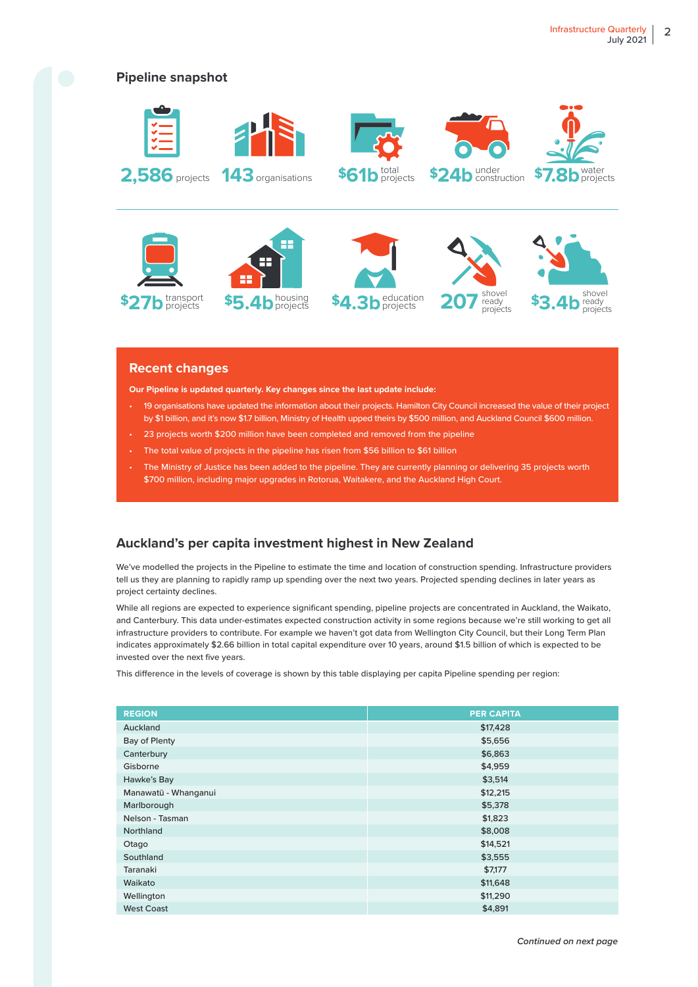

#### **Recent changes**

**Our Pipeline is updated quarterly. Key changes since the last update include:** 

- 19 organisations have updated the information about their projects. Hamilton City Council increased the value of their project by \$1 billion, and it's now \$1.7 billion, Ministry of Health upped theirs by \$500 million, and Auckland Council \$600 million.
- 23 projects worth \$200 million have been completed and removed from the pipeline
- The total value of projects in the pipeline has risen from \$56 billion to \$61 billion
- The Ministry of Justice has been added to the pipeline. They are currently planning or delivering 35 projects worth \$700 million, including major upgrades in Rotorua, Waitakere, and the Auckland High Court.

### **Auckland's per capita investment highest in New Zealand**

We've modelled the projects in the Pipeline to estimate the time and location of construction spending. Infrastructure providers tell us they are planning to rapidly ramp up spending over the next two years. Projected spending declines in later years as project certainty declines.

While all regions are expected to experience significant spending, pipeline projects are concentrated in Auckland, the Waikato, and Canterbury. This data under-estimates expected construction activity in some regions because we're still working to get all infrastructure providers to contribute. For example we haven't got data from Wellington City Council, but their Long Term Plan indicates approximately \$2.66 billion in total capital expenditure over 10 years, around \$1.5 billion of which is expected to be invested over the next five years.

This difference in the levels of coverage is shown by this table displaying per capita Pipeline spending per region:

| <b>REGION</b>        | <b>PER CAPITA</b> |
|----------------------|-------------------|
| Auckland             | \$17,428          |
| Bay of Plenty        | \$5,656           |
| Canterbury           | \$6,863           |
| Gisborne             | \$4,959           |
| Hawke's Bay          | \$3,514           |
| Manawatū - Whanganui | \$12,215          |
| Marlborough          | \$5,378           |
| Nelson - Tasman      | \$1,823           |
| Northland            | \$8,008           |
| Otago                | \$14,521          |
| Southland            | \$3,555           |
| Taranaki             | \$7,177           |
| Waikato              | \$11,648          |
| Wellington           | \$11,290          |
| <b>West Coast</b>    | \$4,891           |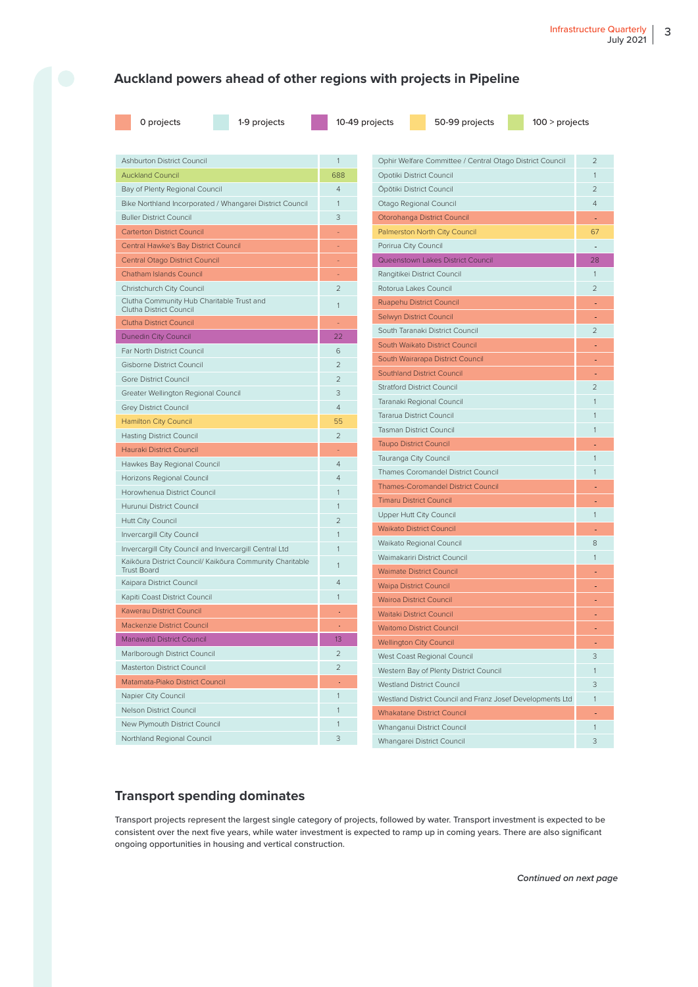### **Auckland powers ahead of other regions with projects in Pipeline**

| 0 projects |
|------------|
|            |

1-9 projects 10-49 projects 50-99 projects 100 > projects

| <b>Ashburton District Council</b>                                              | $\mathbf{1}$   | Ophir Welfare Committee / Central Otago District Council                   | $\overline{2}$ |
|--------------------------------------------------------------------------------|----------------|----------------------------------------------------------------------------|----------------|
| <b>Auckland Council</b>                                                        | 688            | Opotiki District Council                                                   | $\mathbf{1}$   |
| Bay of Plenty Regional Council                                                 | $\overline{4}$ | Öpötiki District Council                                                   | $\mathfrak{D}$ |
| Bike Northland Incorporated / Whangarei District Council                       | $\mathbf{1}$   | Otago Regional Council                                                     | $\overline{4}$ |
| <b>Buller District Council</b>                                                 | 3              | Otorohanga District Council                                                |                |
| <b>Carterton District Council</b>                                              |                | Palmerston North City Council                                              | 67             |
| Central Hawke's Bay District Council                                           |                | Porirua City Council                                                       |                |
| Central Otago District Council                                                 | ÷,             | Queenstown Lakes District Council                                          | 28             |
| Chatham Islands Council                                                        |                | Rangitikei District Council                                                | $\mathbf{1}$   |
| Christchurch City Council                                                      | $\overline{2}$ | Rotorua Lakes Council                                                      | $\overline{2}$ |
| Clutha Community Hub Charitable Trust and<br>Clutha District Council           | $\mathbf{1}$   | Ruapehu District Council                                                   |                |
| <b>Clutha District Council</b>                                                 |                | Selwyn District Council                                                    |                |
| Dunedin City Council                                                           | 22             | South Taranaki District Council                                            | $\overline{2}$ |
| Far North District Council                                                     | 6              | South Waikato District Council                                             |                |
| Gisborne District Council                                                      | $\overline{2}$ | South Wairarapa District Council                                           |                |
| Gore District Council                                                          | $\overline{2}$ | <b>Southland District Council</b>                                          |                |
| Greater Wellington Regional Council                                            | 3              | <b>Stratford District Council</b>                                          | $\overline{2}$ |
| <b>Grey District Council</b>                                                   | $\overline{4}$ | Taranaki Regional Council                                                  |                |
| <b>Hamilton City Council</b>                                                   | 55             | Tararua District Council                                                   |                |
| <b>Hasting District Council</b>                                                | $\overline{2}$ | <b>Tasman District Council</b>                                             | 1              |
| Hauraki District Council                                                       |                | <b>Taupo District Council</b>                                              |                |
| Hawkes Bay Regional Council                                                    | $\overline{4}$ | Tauranga City Council                                                      |                |
| Horizons Regional Council                                                      | $\overline{4}$ | Thames Coromandel District Council                                         |                |
| Horowhenua District Council                                                    | $\mathbf{1}$   | <b>Thames-Coromandel District Council</b>                                  |                |
| Hurunui District Council                                                       | $\mathbf{1}$   | <b>Timaru District Council</b>                                             |                |
| Hutt City Council                                                              | $\overline{2}$ | Upper Hutt City Council                                                    | $\mathbf{1}$   |
| Invercargill City Council                                                      | 1              | <b>Waikato District Council</b>                                            |                |
| Invercargill City Council and Invercargill Central Ltd                         | 1              | Waikato Regional Council                                                   | 8              |
| Kaikōura District Council/ Kaikōura Community Charitable<br><b>Trust Board</b> | $\mathbf{1}$   | Waimakariri District Council                                               | $\mathbf{1}$   |
| Kaipara District Council                                                       | $\overline{4}$ | <b>Waimate District Council</b>                                            |                |
| Kapiti Coast District Council                                                  | $\mathbf{1}$   | <b>Waipa District Council</b>                                              |                |
| Kawerau District Council                                                       |                | <b>Wairoa District Council</b><br><b>Waitaki District Council</b>          |                |
| <b>Mackenzie District Council</b>                                              |                | <b>Waitomo District Council</b>                                            |                |
| Manawatū District Council                                                      | 13             | <b>Wellington City Council</b>                                             |                |
| Marlborough District Council                                                   | $\overline{2}$ |                                                                            | 3              |
| Masterton District Council                                                     | $\overline{2}$ | West Coast Regional Council                                                |                |
| Matamata-Piako District Council                                                |                | Western Bay of Plenty District Council<br><b>Westland District Council</b> | 1<br>3         |
| Napier City Council                                                            | $\mathbf{1}$   | Westland District Council and Franz Josef Developments Ltd                 | $\mathbf{1}$   |
| Nelson District Council                                                        |                | <b>Whakatane District Council</b>                                          |                |
| New Plymouth District Council                                                  | $\mathbf{1}$   | Whanganui District Council                                                 | $\mathbf{1}$   |
| Northland Regional Council                                                     | 3              |                                                                            | 3              |
|                                                                                |                | Whangarei District Council                                                 |                |

### **Transport spending dominates**

Transport projects represent the largest single category of projects, followed by water. Transport investment is expected to be consistent over the next five years, while water investment is expected to ramp up in coming years. There are also significant ongoing opportunities in housing and vertical construction.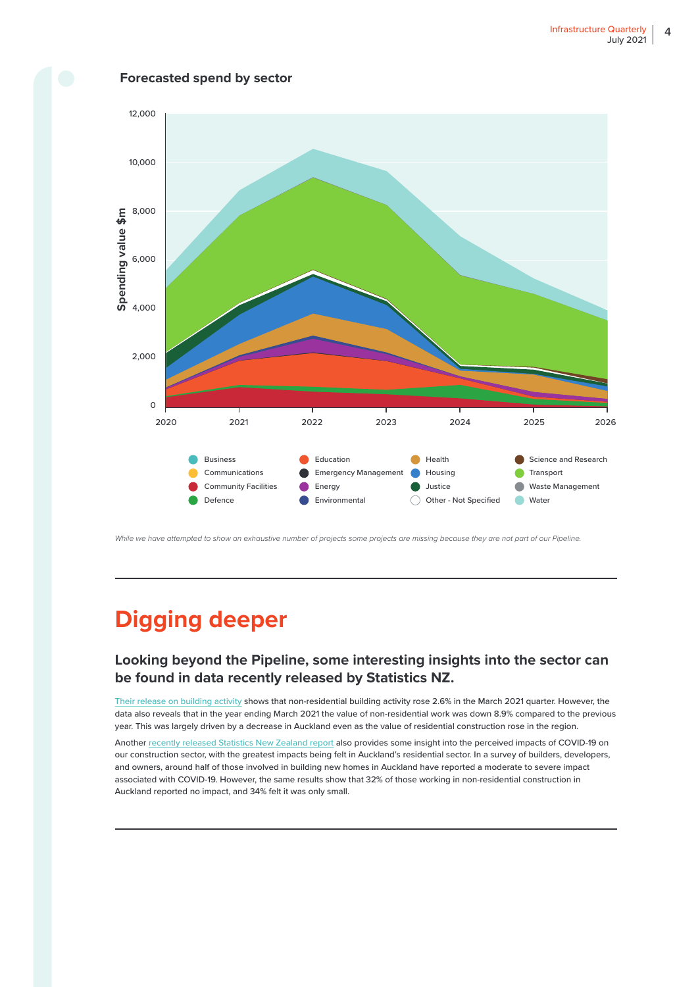

**Forecasted spend by sector**

While we have attempted to show an exhaustive number of projects some projects are missing because they are not part of our Pipeline.

# **Digging deeper**

### **Looking beyond the Pipeline, some interesting insights into the sector can be found in data recently released by Statistics NZ.**

[Their release on building activity](https://www.stats.govt.nz/news/building-activity-grows) shows that non-residential building activity rose 2.6% in the March 2021 quarter. However, the data also reveals that in the year ending March 2021 the value of non-residential work was down 8.9% compared to the previous year. This was largely driven by a decrease in Auckland even as the value of residential construction rose in the region.

Another [recently released Statistics New Zealand report](https://www.stats.govt.nz/news/impacts-of-covid-19-on-new-home-building-projects) also provides some insight into the perceived impacts of COVID-19 on our construction sector, with the greatest impacts being felt in Auckland's residential sector. In a survey of builders, developers, and owners, around half of those involved in building new homes in Auckland have reported a moderate to severe impact associated with COVID-19. However, the same results show that 32% of those working in non-residential construction in Auckland reported no impact, and 34% felt it was only small.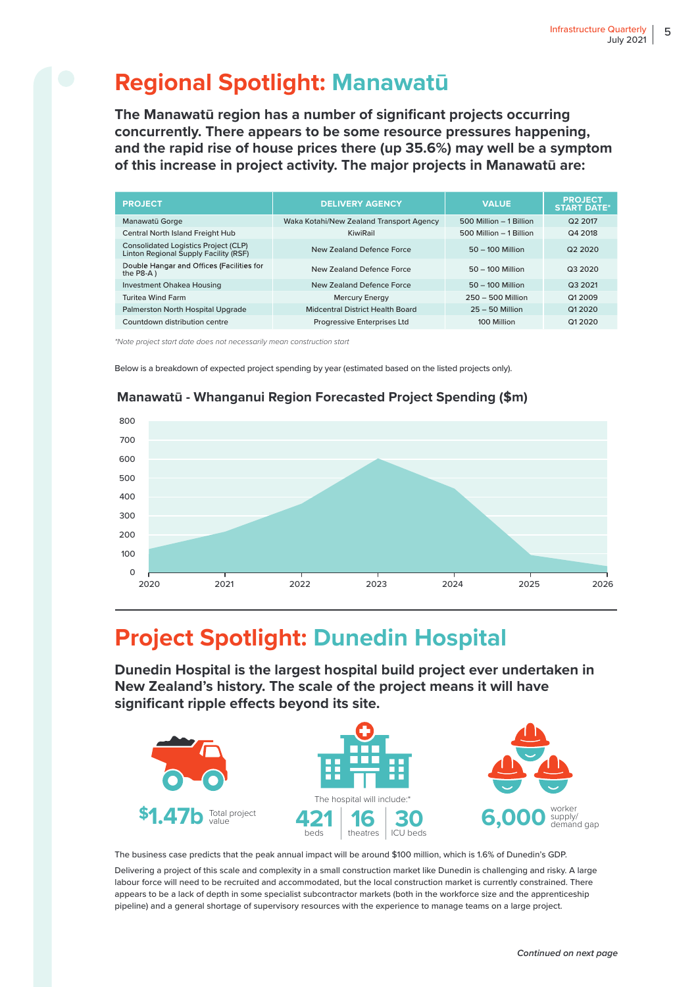# **Regional Spotlight: Manawatū**

**The Manawatū region has a number of significant projects occurring concurrently. There appears to be some resource pressures happening, and the rapid rise of house prices there (up 35.6%) may well be a symptom of this increase in project activity. The major projects in Manawatū are:**

| <b>PROJECT</b>                                                                       | <b>DELIVERY AGENCY</b>                   | <b>VALUE</b>            | <b>PROJECT</b><br><b>START DATE*</b> |
|--------------------------------------------------------------------------------------|------------------------------------------|-------------------------|--------------------------------------|
| Manawatū Gorge                                                                       | Waka Kotahi/New Zealand Transport Agency | 500 Million - 1 Billion | Q <sub>2</sub> 2017                  |
| Central North Island Freight Hub                                                     | KiwiRail                                 | 500 Million - 1 Billion | Q4 2018                              |
| <b>Consolidated Logistics Project (CLP)</b><br>Linton Regional Supply Facility (RSF) | New Zealand Defence Force                | $50 - 100$ Million      | Q2 2020                              |
| Double Hangar and Offices (Facilities for<br>the $P8-A$ )                            | New Zealand Defence Force                | $50 - 100$ Million      | Q3 2020                              |
| Investment Ohakea Housing                                                            | New Zealand Defence Force                | $50 - 100$ Million      | Q3 2021                              |
| <b>Turitea Wind Farm</b>                                                             | <b>Mercury Energy</b>                    | $250 - 500$ Million     | Q1 2009                              |
| Palmerston North Hospital Upgrade                                                    | Midcentral District Health Board         | $25 - 50$ Million       | Q1 2020                              |
| Countdown distribution centre                                                        | <b>Progressive Enterprises Ltd</b>       | 100 Million             | Q1 20 20                             |

\*Note project start date does not necessarily mean construction start

Below is a breakdown of expected project spending by year (estimated based on the listed projects only).



### **Manawatū - Whanganui Region Forecasted Project Spending (\$m)**

# **Project Spotlight: Dunedin Hospital**

**Dunedin Hospital is the largest hospital build project ever undertaken in New Zealand's history. The scale of the project means it will have**  significant ripple effects beyond its site.



The business case predicts that the peak annual impact will be around \$100 million, which is 1.6% of Dunedin's GDP.

Delivering a project of this scale and complexity in a small construction market like Dunedin is challenging and risky. A large labour force will need to be recruited and accommodated, but the local construction market is currently constrained. There appears to be a lack of depth in some specialist subcontractor markets (both in the workforce size and the apprenticeship pipeline) and a general shortage of supervisory resources with the experience to manage teams on a large project.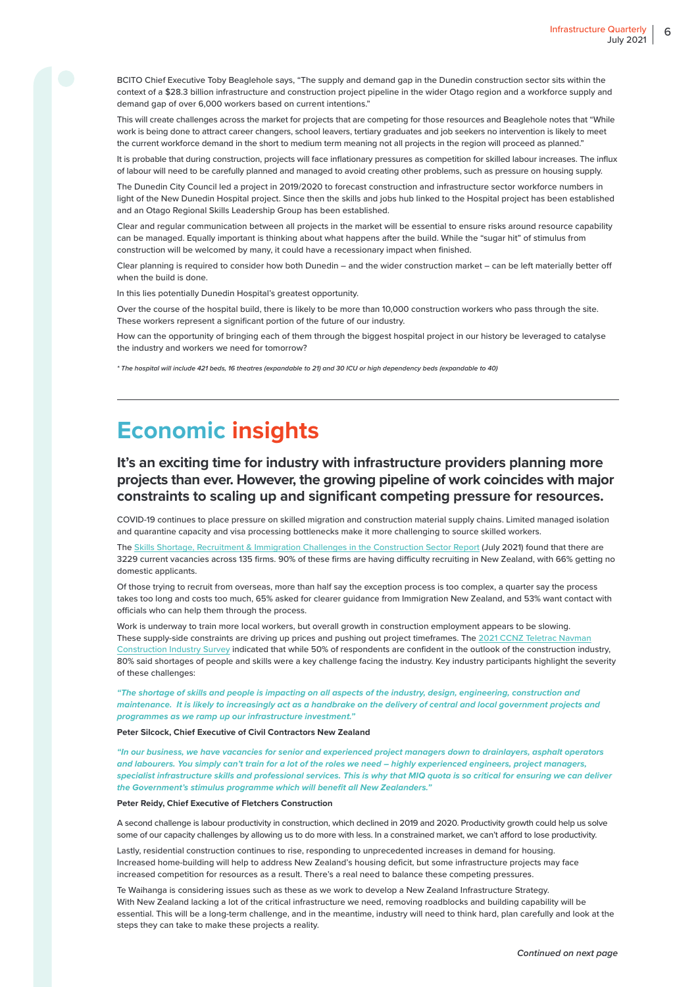BCITO Chief Executive Toby Beaglehole says, "The supply and demand gap in the Dunedin construction sector sits within the context of a \$28.3 billion infrastructure and construction project pipeline in the wider Otago region and a workforce supply and demand gap of over 6,000 workers based on current intentions."

This will create challenges across the market for projects that are competing for those resources and Beaglehole notes that "While work is being done to attract career changers, school leavers, tertiary graduates and job seekers no intervention is likely to meet the current workforce demand in the short to medium term meaning not all projects in the region will proceed as planned."

It is probable that during construction, projects will face inflationary pressures as competition for skilled labour increases. The influx of labour will need to be carefully planned and managed to avoid creating other problems, such as pressure on housing supply.

The Dunedin City Council led a project in 2019/2020 to forecast construction and infrastructure sector workforce numbers in light of the New Dunedin Hospital project. Since then the skills and jobs hub linked to the Hospital project has been established and an Otago Regional Skills Leadership Group has been established.

Clear and regular communication between all projects in the market will be essential to ensure risks around resource capability can be managed. Equally important is thinking about what happens after the build. While the "sugar hit" of stimulus from construction will be welcomed by many, it could have a recessionary impact when finished.

Clear planning is required to consider how both Dunedin – and the wider construction market – can be left materially better o when the build is done.

In this lies potentially Dunedin Hospital's greatest opportunity.

Over the course of the hospital build, there is likely to be more than 10,000 construction workers who pass through the site. These workers represent a significant portion of the future of our industry.

How can the opportunity of bringing each of them through the biggest hospital project in our history be leveraged to catalyse the industry and workers we need for tomorrow?

**\* The hospital will include 421 beds, 16 theatres (expandable to 21) and 30 ICU or high dependency beds (expandable to 40)**

## **Economic insights**

### **It's an exciting time for industry with infrastructure providers planning more projects than ever. However, the growing pipeline of work coincides with major constraints to scaling up and significant competing pressure for resources.**

COVID-19 continues to place pressure on skilled migration and construction material supply chains. Limited managed isolation and quarantine capacity and visa processing bottlenecks make it more challenging to source skilled workers.

The [Skills Shortage, Recruitment & Immigration Challenges in the Construction Sector Report](https://d3n8a8pro7vhmx.cloudfront.net/acenz/pages/1370/attachments/original/1628061674/2021_4_August_Industry_Partners_MIQ_survey_Report_V6_FINAL.pdf?1628061674) (July 2021) found that there are 3229 current vacancies across 135 firms. 90% of these firms are having difficulty recruiting in New Zealand, with 66% getting no domestic applicants.

Of those trying to recruit from overseas, more than half say the exception process is too complex, a quarter say the process takes too long and costs too much, 65% asked for clearer guidance from Immigration New Zealand, and 53% want contact with officials who can help them through the process.

Work is underway to train more local workers, but overall growth in construction employment appears to be slowing. These supply-side constraints are driving up prices and pushing out project timeframes. The [2021 CCNZ Teletrac Navman](https://www.teletracnavman.co.nz/resources/resource-library/articles/new-zealand-2021-construction-industry-survey)  [Construction Industry Survey](https://www.teletracnavman.co.nz/resources/resource-library/articles/new-zealand-2021-construction-industry-survey) indicated that while 50% of respondents are confident in the outlook of the construction industry, 80% said shortages of people and skills were a key challenge facing the industry. Key industry participants highlight the severity of these challenges:

**"The shortage of skills and people is impacting on all aspects of the industry, design, engineering, construction and maintenance. It is likely to increasingly act as a handbrake on the delivery of central and local government projects and programmes as we ramp up our infrastructure investment."** 

**Peter Silcock, Chief Executive of Civil Contractors New Zealand**

**"In our business, we have vacancies for senior and experienced project managers down to drainlayers, asphalt operators and labourers. You simply can't train for a lot of the roles we need – highly experienced engineers, project managers, specialist infrastructure skills and professional services. This is why that MIQ quota is so critical for ensuring we can deliver the Government's stimulus programme which will benefit all New Zealanders."** 

**Peter Reidy, Chief Executive of Fletchers Construction**

A second challenge is labour productivity in construction, which declined in 2019 and 2020. Productivity growth could help us solve some of our capacity challenges by allowing us to do more with less. In a constrained market, we can't afford to lose productivity.

Lastly, residential construction continues to rise, responding to unprecedented increases in demand for housing. Increased home-building will help to address New Zealand's housing deficit, but some infrastructure projects may face increased competition for resources as a result. There's a real need to balance these competing pressures.

Te Waihanga is considering issues such as these as we work to develop a New Zealand Infrastructure Strategy. With New Zealand lacking a lot of the critical infrastructure we need, removing roadblocks and building capability will be essential. This will be a long-term challenge, and in the meantime, industry will need to think hard, plan carefully and look at the steps they can take to make these projects a reality.